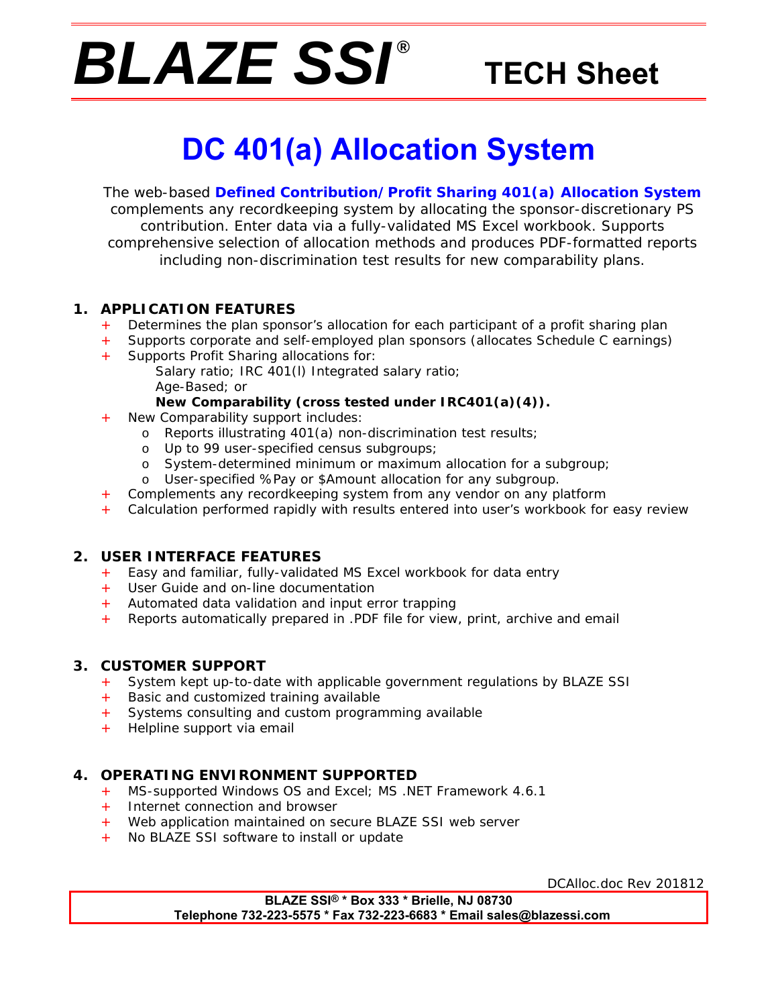# *BLAZE SSI ®*

## **TECH Sheet**

## **DC 401(a) Allocation System**

The web-based **Defined Contribution/Profit Sharing 401(a) Allocation System** complements any recordkeeping system by allocating the sponsor-discretionary PS contribution. Enter data via a fully-validated MS Excel workbook. Supports comprehensive selection of allocation methods and produces PDF-formatted reports including non-discrimination test results for new comparability plans.

#### **1. APPLICATION FEATURES**

- Determines the plan sponsor's allocation for each participant of a profit sharing plan
- Supports corporate and self-employed plan sponsors (allocates Schedule C earnings)
- Supports Profit Sharing allocations for:
	- Salary ratio; IRC 401(l) Integrated salary ratio; Age-Based; or

#### **New Comparability (cross tested under IRC401(a)(4)).**

- New Comparability support includes:
	- o Reports illustrating 401(a) non-discrimination test results;
	- o Up to 99 user-specified census subgroups;
	- o System-determined minimum or maximum allocation for a subgroup;
	- o User-specified %Pay or \$Amount allocation for any subgroup.
- Complements any recordkeeping system from any vendor on any platform
- Calculation performed rapidly with results entered into user's workbook for easy review

#### **2. USER INTERFACE FEATURES**

- + Easy and familiar, fully-validated MS Excel workbook for data entry
- + User Guide and on-line documentation
- + Automated data validation and input error trapping
- + Reports automatically prepared in .PDF file for view, print, archive and email

#### **3. CUSTOMER SUPPORT**

- System kept up-to-date with applicable government regulations by BLAZE SSI
- + Basic and customized training available
- + Systems consulting and custom programming available
- + Helpline support via email

#### **4. OPERATING ENVIRONMENT SUPPORTED**

- + MS-supported Windows OS and Excel; MS .NET Framework 4.6.1
- + Internet connection and browser
- + Web application maintained on secure BLAZE SSI web server
- + No BLAZE SSI software to install or update

DCAlloc.doc Rev 201812

**BLAZE SSI® \* Box 333 \* Brielle, NJ 08730 Telephone 732-223-5575 \* Fax 732-223-6683 \* Email sales@blazessi.com**